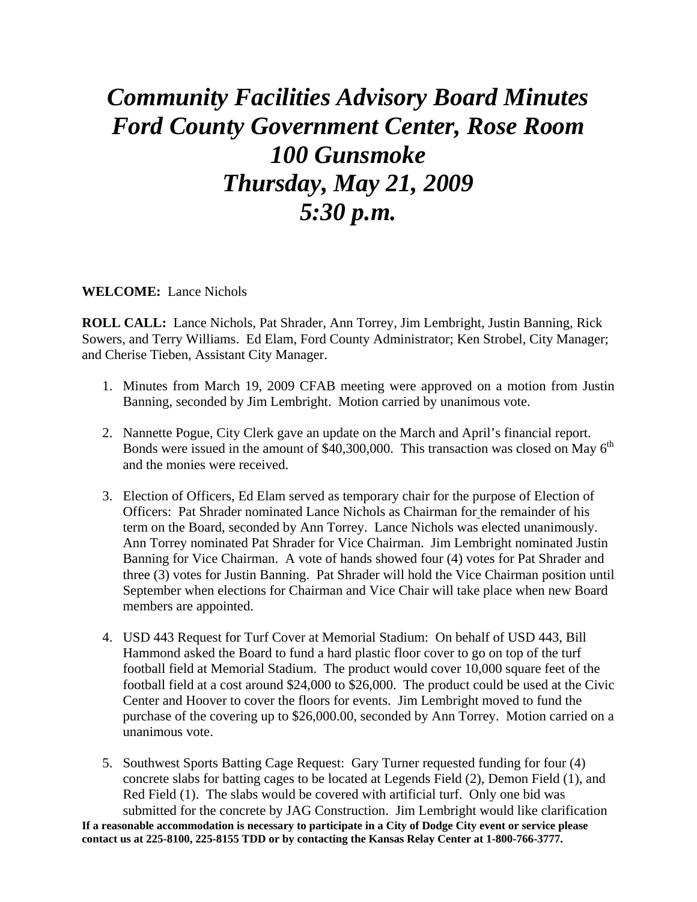## *Community Facilities Advisory Board Minutes Ford County Government Center, Rose Room 100 Gunsmoke Thursday, May 21, 2009 5:30 p.m.*

**WELCOME:** Lance Nichols

**ROLL CALL:** Lance Nichols, Pat Shrader, Ann Torrey, Jim Lembright, Justin Banning, Rick Sowers, and Terry Williams. Ed Elam, Ford County Administrator; Ken Strobel, City Manager; and Cherise Tieben, Assistant City Manager.

- 1. Minutes from March 19, 2009 CFAB meeting were approved on a motion from Justin Banning, seconded by Jim Lembright. Motion carried by unanimous vote.
- 2. Nannette Pogue, City Clerk gave an update on the March and April's financial report. Bonds were issued in the amount of  $\frac{$40,300,000}{4}$ . This transaction was closed on May 6<sup>th</sup> and the monies were received.
- 3. Election of Officers, Ed Elam served as temporary chair for the purpose of Election of Officers: Pat Shrader nominated Lance Nichols as Chairman for the remainder of his term on the Board, seconded by Ann Torrey. Lance Nichols was elected unanimously. Ann Torrey nominated Pat Shrader for Vice Chairman. Jim Lembright nominated Justin Banning for Vice Chairman. A vote of hands showed four (4) votes for Pat Shrader and three (3) votes for Justin Banning. Pat Shrader will hold the Vice Chairman position until September when elections for Chairman and Vice Chair will take place when new Board members are appointed.
- 4. USD 443 Request for Turf Cover at Memorial Stadium: On behalf of USD 443, Bill Hammond asked the Board to fund a hard plastic floor cover to go on top of the turf football field at Memorial Stadium. The product would cover 10,000 square feet of the football field at a cost around \$24,000 to \$26,000. The product could be used at the Civic Center and Hoover to cover the floors for events. Jim Lembright moved to fund the purchase of the covering up to \$26,000.00, seconded by Ann Torrey. Motion carried on a unanimous vote.
- **If a reasonable accommodation is necessary to participate in a City of Dodge City event or service please contact us at 225-8100, 225-8155 TDD or by contacting the Kansas Relay Center at 1-800-766-3777.**  5. Southwest Sports Batting Cage Request: Gary Turner requested funding for four (4) concrete slabs for batting cages to be located at Legends Field (2), Demon Field (1), and Red Field (1). The slabs would be covered with artificial turf. Only one bid was submitted for the concrete by JAG Construction. Jim Lembright would like clarification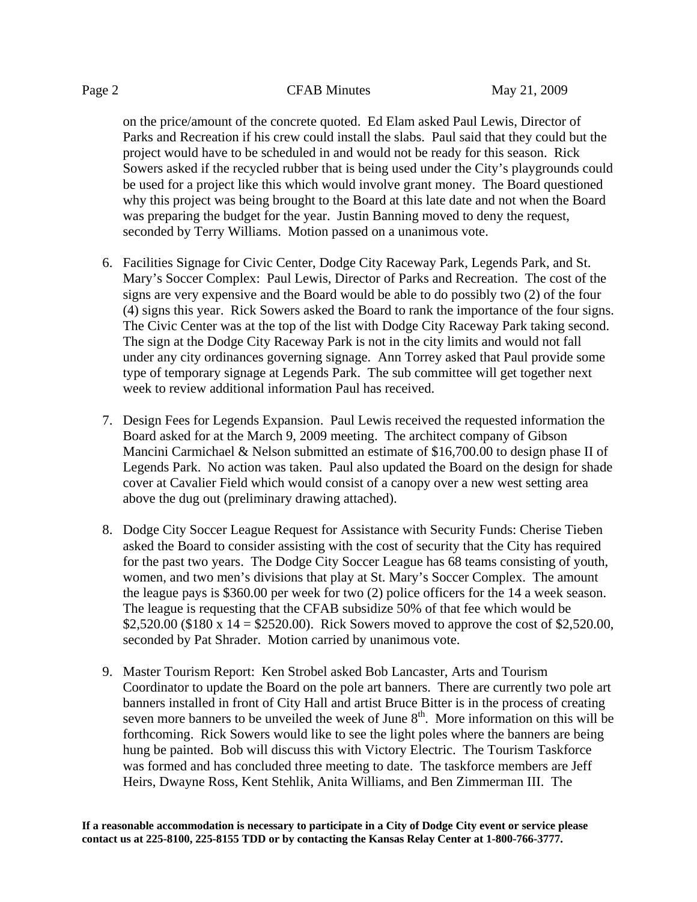on the price/amount of the concrete quoted. Ed Elam asked Paul Lewis, Director of Parks and Recreation if his crew could install the slabs. Paul said that they could but the project would have to be scheduled in and would not be ready for this season. Rick Sowers asked if the recycled rubber that is being used under the City's playgrounds could be used for a project like this which would involve grant money. The Board questioned why this project was being brought to the Board at this late date and not when the Board was preparing the budget for the year. Justin Banning moved to deny the request, seconded by Terry Williams. Motion passed on a unanimous vote.

- 6. Facilities Signage for Civic Center, Dodge City Raceway Park, Legends Park, and St. Mary's Soccer Complex: Paul Lewis, Director of Parks and Recreation. The cost of the signs are very expensive and the Board would be able to do possibly two (2) of the four (4) signs this year. Rick Sowers asked the Board to rank the importance of the four signs. The Civic Center was at the top of the list with Dodge City Raceway Park taking second. The sign at the Dodge City Raceway Park is not in the city limits and would not fall under any city ordinances governing signage. Ann Torrey asked that Paul provide some type of temporary signage at Legends Park. The sub committee will get together next week to review additional information Paul has received.
- 7. Design Fees for Legends Expansion. Paul Lewis received the requested information the Board asked for at the March 9, 2009 meeting. The architect company of Gibson Mancini Carmichael & Nelson submitted an estimate of \$16,700.00 to design phase II of Legends Park. No action was taken. Paul also updated the Board on the design for shade cover at Cavalier Field which would consist of a canopy over a new west setting area above the dug out (preliminary drawing attached).
- 8. Dodge City Soccer League Request for Assistance with Security Funds: Cherise Tieben asked the Board to consider assisting with the cost of security that the City has required for the past two years. The Dodge City Soccer League has 68 teams consisting of youth, women, and two men's divisions that play at St. Mary's Soccer Complex. The amount the league pays is \$360.00 per week for two (2) police officers for the 14 a week season. The league is requesting that the CFAB subsidize 50% of that fee which would be \$2,520.00 (\$180 x  $14 = $2520.00$ ). Rick Sowers moved to approve the cost of \$2,520.00, seconded by Pat Shrader. Motion carried by unanimous vote.
- 9. Master Tourism Report: Ken Strobel asked Bob Lancaster, Arts and Tourism Coordinator to update the Board on the pole art banners. There are currently two pole art banners installed in front of City Hall and artist Bruce Bitter is in the process of creating seven more banners to be unveiled the week of June  $8<sup>th</sup>$ . More information on this will be forthcoming. Rick Sowers would like to see the light poles where the banners are being hung be painted. Bob will discuss this with Victory Electric. The Tourism Taskforce was formed and has concluded three meeting to date. The taskforce members are Jeff Heirs, Dwayne Ross, Kent Stehlik, Anita Williams, and Ben Zimmerman III. The